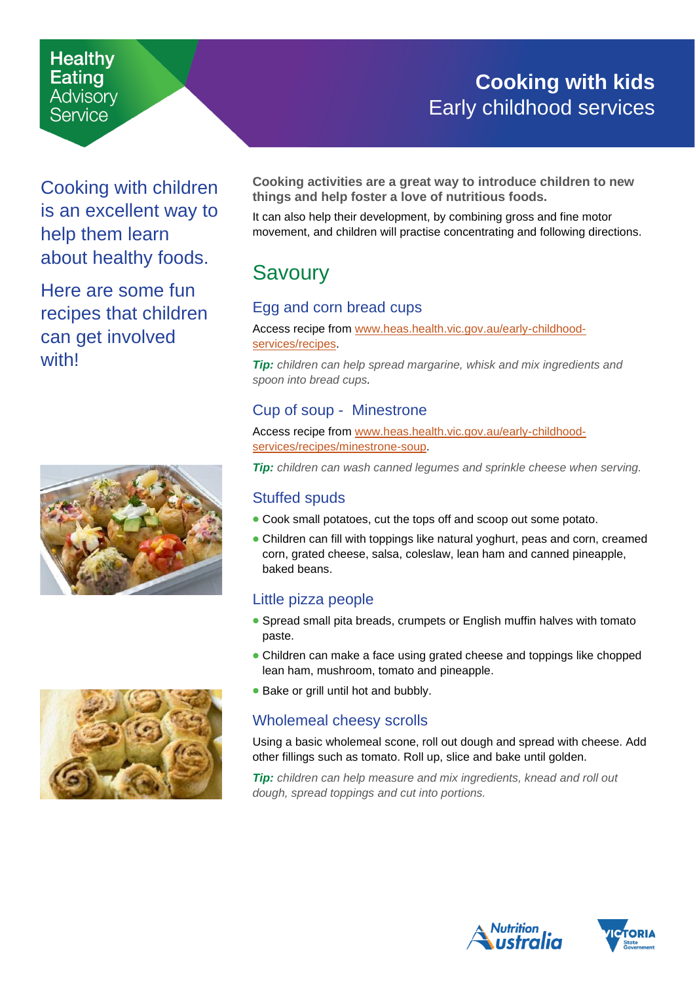# **Cooking with kids** Early childhood services

Cooking with children is an excellent way to help them learn about healthy foods.

**Healthy** Eating **Advisory** Service

Here are some fun recipes that children can get involved with!





<span id="page-0-0"></span>**Cooking activities are a great way to introduce children to new things and help foster a love of nutritious foods.**

It can also help their development, by combining gross and fine motor movement, and children will practise concentrating and following directions.

## Savoury

### Egg and corn bread cups

Access recipe from [www.heas.health.vic.gov.au/early-childhood](http://www.heas.health.vic.gov.au/early-childhood-services/recipes)[services/recipes.](http://www.heas.health.vic.gov.au/early-childhood-services/recipes)

*Tip: children can help spread margarine, whisk and mix ingredients and spoon into bread cups.* 

#### Cup of soup - Minestrone

Access recipe from [www.heas.health.vic.gov.au/early-childhood](http://www.heas.health.vic.gov.au/early-childhood-services/recipes/minestrone-soup)[services/recipes/minestrone-soup.](http://www.heas.health.vic.gov.au/early-childhood-services/recipes/minestrone-soup)

*Tip: children can wash canned legumes and sprinkle cheese when serving.* 

#### Stuffed spuds

- Cook small potatoes, cut the tops off and scoop out some potato.
- Children can fill with toppings like natural yoghurt, peas and corn, creamed corn, grated cheese, salsa, coleslaw, lean ham and canned pineapple, baked beans.

## Little pizza people

- Spread small pita breads, crumpets or English muffin halves with tomato paste.
- Children can make a face using grated cheese and toppings like chopped lean ham, mushroom, tomato and pineapple.
- Bake or grill until hot and bubbly.

## Wholemeal cheesy scrolls

Using a basic wholemeal scone, roll out dough and spread with cheese. Add other fillings such as tomato. Roll up, slice and bake until golden.

*Tip: children can help measure and mix ingredients, knead and roll out dough, spread toppings and cut into portions.*